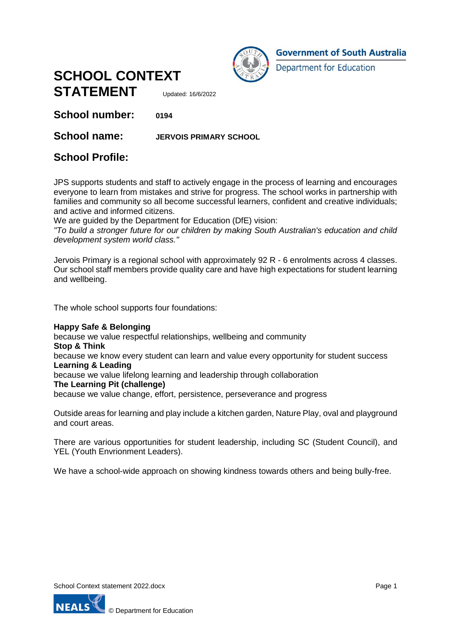



**Government of South Australia** 

**Department for Education** 

**School number: 0194**

## **School name: JERVOIS PRIMARY SCHOOL**

## **School Profile:**

JPS supports students and staff to actively engage in the process of learning and encourages everyone to learn from mistakes and strive for progress. The school works in partnership with families and community so all become successful learners, confident and creative individuals; and active and informed citizens.

We are guided by the Department for Education (DfE) vision:

*"To build a stronger future for our children by making South Australian's education and child development system world class."*

Jervois Primary is a regional school with approximately 92 R - 6 enrolments across 4 classes. Our school staff members provide quality care and have high expectations for student learning and wellbeing.

The whole school supports four foundations:

#### **Happy Safe & Belonging**

because we value respectful relationships, wellbeing and community **Stop & Think**  because we know every student can learn and value every opportunity for student success **Learning & Leading**  because we value lifelong learning and leadership through collaboration **The Learning Pit (challenge)**  because we value change, effort, persistence, perseverance and progress

Outside areas for learning and play include a kitchen garden, Nature Play, oval and playground and court areas.

There are various opportunities for student leadership, including SC (Student Council), and YEL (Youth Envrionment Leaders).

We have a school-wide approach on showing kindness towards others and being bully-free.

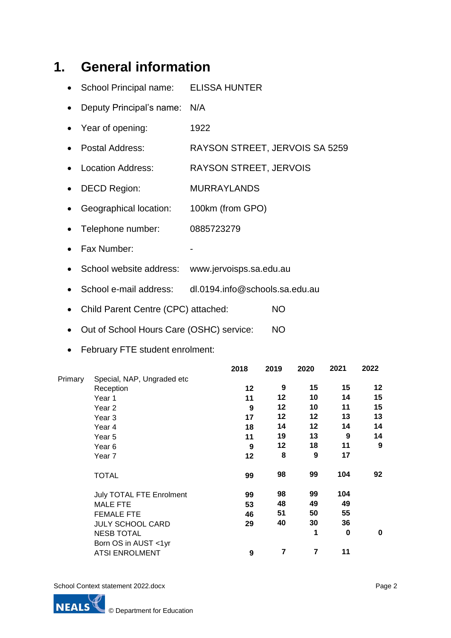# **1. General information**

- School Principal name: ELISSA HUNTER
- Deputy Principal's name: N/A
- Year of opening: 1922
- Postal Address: RAYSON STREET, JERVOIS SA 5259
- Location Address: RAYSON STREET, JERVOIS
- DECD Region: MURRAYLANDS
- Geographical location: 100km (from GPO)
- Telephone number: 0885723279
- Fax Number:
- School website address: www.jervoisps.sa.edu.au
- School e-mail address: dl.0194.info@schools.sa.edu.au
- Child Parent Centre (CPC) attached: NO
- Out of School Hours Care (OSHC) service: NO
- February FTE student enrolment:

|         |                            | 2018 | 2019 | 2020 | 2021 | 2022             |
|---------|----------------------------|------|------|------|------|------------------|
| Primary | Special, NAP, Ungraded etc |      |      |      |      |                  |
|         | Reception                  | 12   | 9    | 15   | 15   | 12               |
|         | Year 1                     | 11   | 12   | 10   | 14   | 15               |
|         | Year 2                     | 9    | 12   | 10   | 11   | 15               |
|         | Year <sub>3</sub>          | 17   | 12   | 12   | 13   | 13               |
|         | Year 4                     | 18   | 14   | 12   | 14   | 14               |
|         | Year 5                     | 11   | 19   | 13   | 9    | 14               |
|         | Year <sub>6</sub>          | 9    | 12   | 18   | 11   | $\boldsymbol{9}$ |
|         | Year 7                     | 12   | 8    | 9    | 17   |                  |
|         | <b>TOTAL</b>               | 99   | 98   | 99   | 104  | 92               |
|         | July TOTAL FTE Enrolment   | 99   | 98   | 99   | 104  |                  |
|         | <b>MALE FTE</b>            | 53   | 48   | 49   | 49   |                  |
|         | <b>FEMALE FTE</b>          | 46   | 51   | 50   | 55   |                  |
|         | <b>JULY SCHOOL CARD</b>    | 29   | 40   | 30   | 36   |                  |
|         | <b>NESB TOTAL</b>          |      |      | 1    | 0    | 0                |
|         | Born OS in AUST <1yr       |      |      |      |      |                  |
|         | <b>ATSI ENROLMENT</b>      | 9    | 7    | 7    | 11   |                  |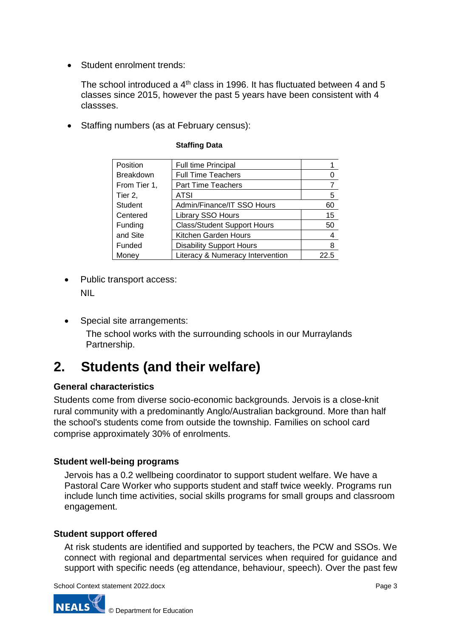• Student enrolment trends:

The school introduced a  $4<sup>th</sup>$  class in 1996. It has fluctuated between 4 and 5 classes since 2015, however the past 5 years have been consistent with 4 classses.

• Staffing numbers (as at February census):

| Position         | <b>Full time Principal</b>         |      |
|------------------|------------------------------------|------|
| <b>Breakdown</b> | <b>Full Time Teachers</b>          | 0    |
| From Tier 1,     | <b>Part Time Teachers</b>          | 7    |
| Tier 2,          | ATSI                               | 5    |
| Student          | Admin/Finance/IT SSO Hours         | 60   |
| Centered         | Library SSO Hours                  | 15   |
| Funding          | <b>Class/Student Support Hours</b> | 50   |
| and Site         | Kitchen Garden Hours               | 4    |
| Funded           | <b>Disability Support Hours</b>    | 8    |
| Money            | Literacy & Numeracy Intervention   | 22.5 |

### **Staffing Data**

- Public transport access: NIL
- Special site arrangements: The school works with the surrounding schools in our Murraylands Partnership.

## **2. Students (and their welfare)**

## **General characteristics**

Students come from diverse socio-economic backgrounds. Jervois is a close-knit rural community with a predominantly Anglo/Australian background. More than half the school's students come from outside the township. Families on school card comprise approximately 30% of enrolments.

## **Student well-being programs**

Jervois has a 0.2 wellbeing coordinator to support student welfare. We have a Pastoral Care Worker who supports student and staff twice weekly. Programs run include lunch time activities, social skills programs for small groups and classroom engagement.

## **Student support offered**

At risk students are identified and supported by teachers, the PCW and SSOs. We connect with regional and departmental services when required for guidance and support with specific needs (eg attendance, behaviour, speech). Over the past few

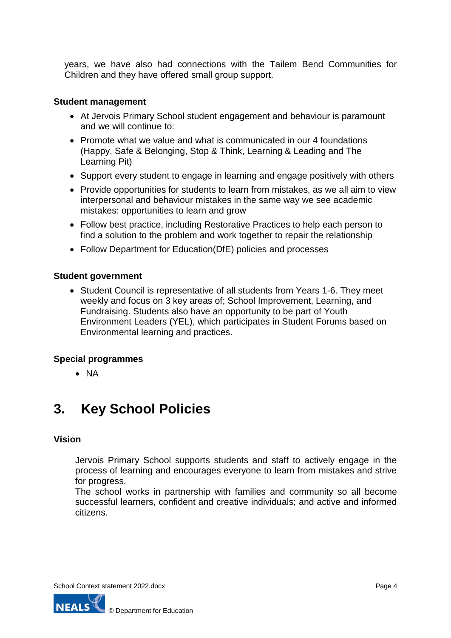years, we have also had connections with the Tailem Bend Communities for Children and they have offered small group support.

## **Student management**

- At Jervois Primary School student engagement and behaviour is paramount and we will continue to:
- Promote what we value and what is communicated in our 4 foundations (Happy, Safe & Belonging, Stop & Think, Learning & Leading and The Learning Pit)
- Support every student to engage in learning and engage positively with others
- Provide opportunities for students to learn from mistakes, as we all aim to view interpersonal and behaviour mistakes in the same way we see academic mistakes: opportunities to learn and grow
- Follow best practice, including Restorative Practices to help each person to find a solution to the problem and work together to repair the relationship
- Follow Department for Education(DfE) policies and processes

#### **Student government**

 Student Council is representative of all students from Years 1-6. They meet weekly and focus on 3 key areas of; School Improvement, Learning, and Fundraising. Students also have an opportunity to be part of Youth Environment Leaders (YEL), which participates in Student Forums based on Environmental learning and practices.

#### **Special programmes**

 $\bullet$  NA

## **3. Key School Policies**

#### **Vision**

Jervois Primary School supports students and staff to actively engage in the process of learning and encourages everyone to learn from mistakes and strive for progress.

The school works in partnership with families and community so all become successful learners, confident and creative individuals; and active and informed citizens.

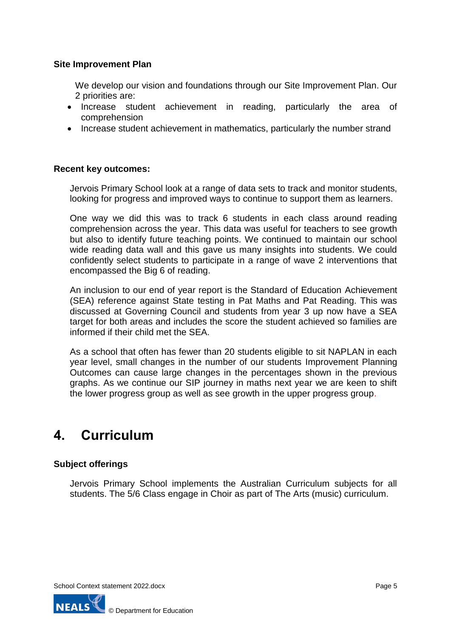## **Site Improvement Plan**

We develop our vision and foundations through our Site Improvement Plan. Our 2 priorities are:

- Increase student achievement in reading, particularly the area of comprehension
- Increase student achievement in mathematics, particularly the number strand

## **Recent key outcomes:**

Jervois Primary School look at a range of data sets to track and monitor students, looking for progress and improved ways to continue to support them as learners.

One way we did this was to track 6 students in each class around reading comprehension across the year. This data was useful for teachers to see growth but also to identify future teaching points. We continued to maintain our school wide reading data wall and this gave us many insights into students. We could confidently select students to participate in a range of wave 2 interventions that encompassed the Big 6 of reading.

An inclusion to our end of year report is the Standard of Education Achievement (SEA) reference against State testing in Pat Maths and Pat Reading. This was discussed at Governing Council and students from year 3 up now have a SEA target for both areas and includes the score the student achieved so families are informed if their child met the SEA.

As a school that often has fewer than 20 students eligible to sit NAPLAN in each year level, small changes in the number of our students Improvement Planning Outcomes can cause large changes in the percentages shown in the previous graphs. As we continue our SIP journey in maths next year we are keen to shift the lower progress group as well as see growth in the upper progress group.

## **4. Curriculum**

## **Subject offerings**

Jervois Primary School implements the Australian Curriculum subjects for all students. The 5/6 Class engage in Choir as part of The Arts (music) curriculum.

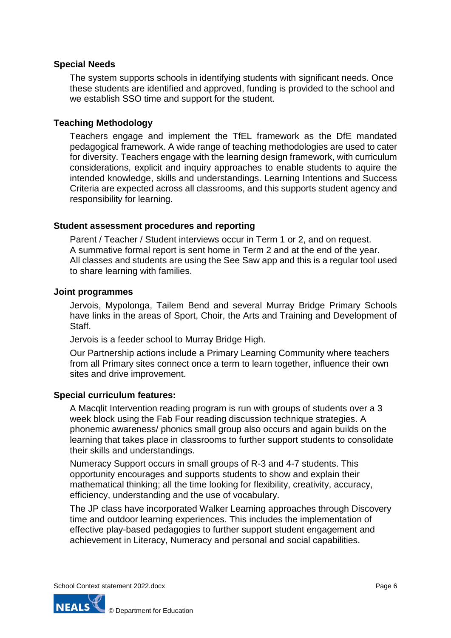## **Special Needs**

The system supports schools in identifying students with significant needs. Once these students are identified and approved, funding is provided to the school and we establish SSO time and support for the student.

### **Teaching Methodology**

Teachers engage and implement the TfEL framework as the DfE mandated pedagogical framework. A wide range of teaching methodologies are used to cater for diversity. Teachers engage with the learning design framework, with curriculum considerations, explicit and inquiry approaches to enable students to aquire the intended knowledge, skills and understandings. Learning Intentions and Success Criteria are expected across all classrooms, and this supports student agency and responsibility for learning.

#### **Student assessment procedures and reporting**

Parent / Teacher / Student interviews occur in Term 1 or 2, and on request. A summative formal report is sent home in Term 2 and at the end of the year. All classes and students are using the See Saw app and this is a regular tool used to share learning with families.

#### **Joint programmes**

Jervois, Mypolonga, Tailem Bend and several Murray Bridge Primary Schools have links in the areas of Sport, Choir, the Arts and Training and Development of Staff.

Jervois is a feeder school to Murray Bridge High.

Our Partnership actions include a Primary Learning Community where teachers from all Primary sites connect once a term to learn together, influence their own sites and drive improvement.

#### **Special curriculum features:**

A Macqlit Intervention reading program is run with groups of students over a 3 week block using the Fab Four reading discussion technique strategies. A phonemic awareness/ phonics small group also occurs and again builds on the learning that takes place in classrooms to further support students to consolidate their skills and understandings.

Numeracy Support occurs in small groups of R-3 and 4-7 students. This opportunity encourages and supports students to show and explain their mathematical thinking; all the time looking for flexibility, creativity, accuracy, efficiency, understanding and the use of vocabulary.

The JP class have incorporated Walker Learning approaches through Discovery time and outdoor learning experiences. This includes the implementation of effective play-based pedagogies to further support student engagement and achievement in Literacy, Numeracy and personal and social capabilities.

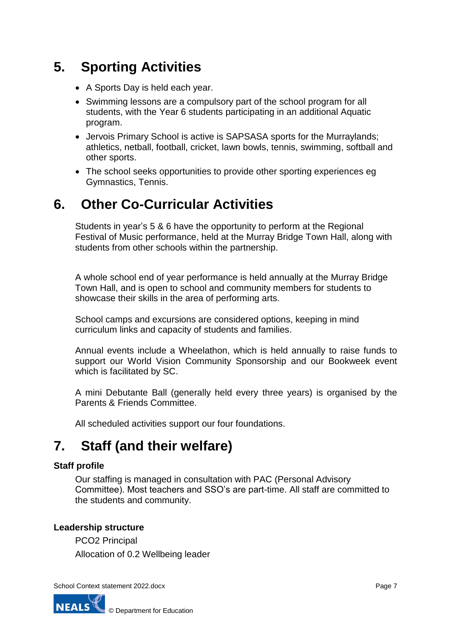# **5. Sporting Activities**

- A Sports Day is held each year.
- Swimming lessons are a compulsory part of the school program for all students, with the Year 6 students participating in an additional Aquatic program.
- Jervois Primary School is active is SAPSASA sports for the Murraylands; athletics, netball, football, cricket, lawn bowls, tennis, swimming, softball and other sports.
- The school seeks opportunities to provide other sporting experiences eg Gymnastics, Tennis.

## **6. Other Co-Curricular Activities**

Students in year's 5 & 6 have the opportunity to perform at the Regional Festival of Music performance, held at the Murray Bridge Town Hall, along with students from other schools within the partnership.

A whole school end of year performance is held annually at the Murray Bridge Town Hall, and is open to school and community members for students to showcase their skills in the area of performing arts.

School camps and excursions are considered options, keeping in mind curriculum links and capacity of students and families.

Annual events include a Wheelathon, which is held annually to raise funds to support our World Vision Community Sponsorship and our Bookweek event which is facilitated by SC.

A mini Debutante Ball (generally held every three years) is organised by the Parents & Friends Committee.

All scheduled activities support our four foundations.

## **7. Staff (and their welfare)**

## **Staff profile**

Our staffing is managed in consultation with PAC (Personal Advisory Committee). Most teachers and SSO's are part-time. All staff are committed to the students and community.

## **Leadership structure**

PCO2 Principal Allocation of 0.2 Wellbeing leader

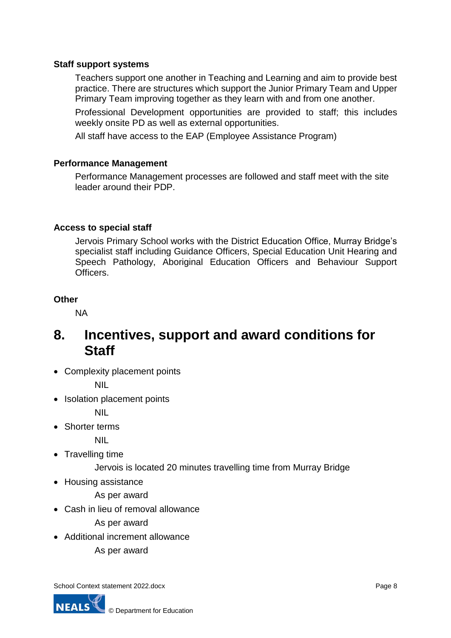## **Staff support systems**

Teachers support one another in Teaching and Learning and aim to provide best practice. There are structures which support the Junior Primary Team and Upper Primary Team improving together as they learn with and from one another.

Professional Development opportunities are provided to staff; this includes weekly onsite PD as well as external opportunities.

All staff have access to the EAP (Employee Assistance Program)

## **Performance Management**

Performance Management processes are followed and staff meet with the site leader around their PDP.

## **Access to special staff**

Jervois Primary School works with the District Education Office, Murray Bridge's specialist staff including Guidance Officers, Special Education Unit Hearing and Speech Pathology, Aboriginal Education Officers and Behaviour Support Officers.

## **Other**

NA

## **8. Incentives, support and award conditions for Staff**

• Complexity placement points

NIL

• Isolation placement points

NIL

Shorter terms

NIL

- Travelling time
	- Jervois is located 20 minutes travelling time from Murray Bridge
- Housing assistance

As per award

Cash in lieu of removal allowance

As per award

- Additional increment allowance
	- As per award

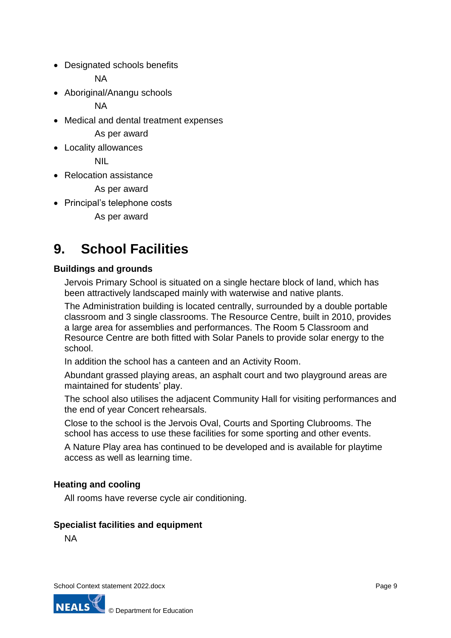Designated schools benefits

NA

• Aboriginal/Anangu schools

**NA** 

Medical and dental treatment expenses

As per award

Locality allowances

NIL

• Relocation assistance

As per award

• Principal's telephone costs

As per award

# **9. School Facilities**

## **Buildings and grounds**

Jervois Primary School is situated on a single hectare block of land, which has been attractively landscaped mainly with waterwise and native plants.

The Administration building is located centrally, surrounded by a double portable classroom and 3 single classrooms. The Resource Centre, built in 2010, provides a large area for assemblies and performances. The Room 5 Classroom and Resource Centre are both fitted with Solar Panels to provide solar energy to the school.

In addition the school has a canteen and an Activity Room.

Abundant grassed playing areas, an asphalt court and two playground areas are maintained for students' play.

The school also utilises the adjacent Community Hall for visiting performances and the end of year Concert rehearsals.

Close to the school is the Jervois Oval, Courts and Sporting Clubrooms. The school has access to use these facilities for some sporting and other events.

A Nature Play area has continued to be developed and is available for playtime access as well as learning time.

## **Heating and cooling**

All rooms have reverse cycle air conditioning.

## **Specialist facilities and equipment**

NA

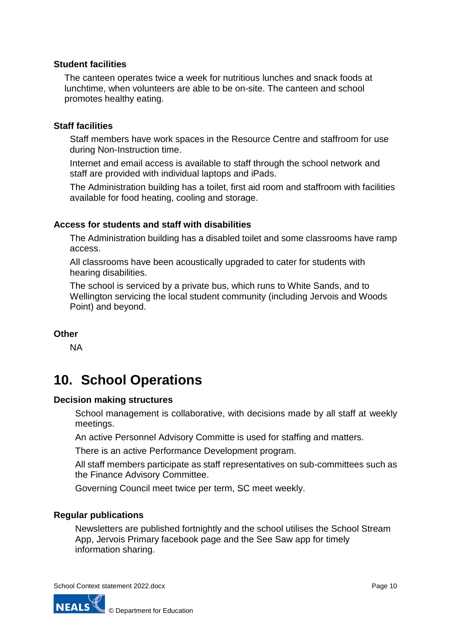## **Student facilities**

The canteen operates twice a week for nutritious lunches and snack foods at lunchtime, when volunteers are able to be on-site. The canteen and school promotes healthy eating.

### **Staff facilities**

Staff members have work spaces in the Resource Centre and staffroom for use during Non-Instruction time.

Internet and email access is available to staff through the school network and staff are provided with individual laptops and iPads.

The Administration building has a toilet, first aid room and staffroom with facilities available for food heating, cooling and storage.

### **Access for students and staff with disabilities**

The Administration building has a disabled toilet and some classrooms have ramp access.

All classrooms have been acoustically upgraded to cater for students with hearing disabilities.

The school is serviced by a private bus, which runs to White Sands, and to Wellington servicing the local student community (including Jervois and Woods Point) and beyond.

## **Other**

NA

## **10. School Operations**

#### **Decision making structures**

School management is collaborative, with decisions made by all staff at weekly meetings.

An active Personnel Advisory Committe is used for staffing and matters.

There is an active Performance Development program.

All staff members participate as staff representatives on sub-committees such as the Finance Advisory Committee.

Governing Council meet twice per term, SC meet weekly.

## **Regular publications**

Newsletters are published fortnightly and the school utilises the School Stream App, Jervois Primary facebook page and the See Saw app for timely information sharing.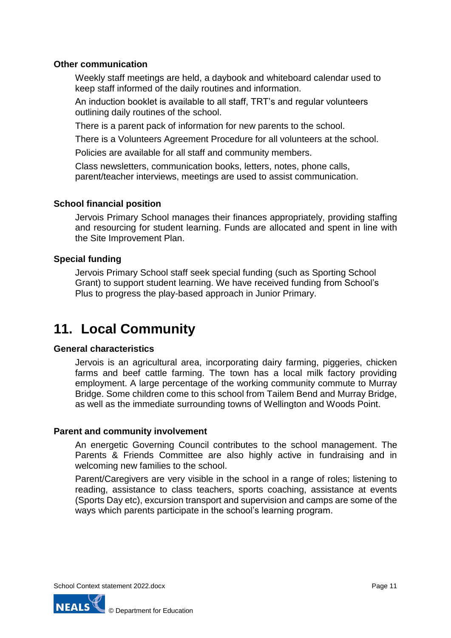## **Other communication**

Weekly staff meetings are held, a daybook and whiteboard calendar used to keep staff informed of the daily routines and information.

An induction booklet is available to all staff, TRT's and regular volunteers outlining daily routines of the school.

There is a parent pack of information for new parents to the school.

There is a Volunteers Agreement Procedure for all volunteers at the school.

Policies are available for all staff and community members.

Class newsletters, communication books, letters, notes, phone calls, parent/teacher interviews, meetings are used to assist communication.

## **School financial position**

Jervois Primary School manages their finances appropriately, providing staffing and resourcing for student learning. Funds are allocated and spent in line with the Site Improvement Plan.

### **Special funding**

Jervois Primary School staff seek special funding (such as Sporting School Grant) to support student learning. We have received funding from School's Plus to progress the play-based approach in Junior Primary.

## **11. Local Community**

## **General characteristics**

Jervois is an agricultural area, incorporating dairy farming, piggeries, chicken farms and beef cattle farming. The town has a local milk factory providing employment. A large percentage of the working community commute to Murray Bridge. Some children come to this school from Tailem Bend and Murray Bridge, as well as the immediate surrounding towns of Wellington and Woods Point.

#### **Parent and community involvement**

An energetic Governing Council contributes to the school management. The Parents & Friends Committee are also highly active in fundraising and in welcoming new families to the school.

Parent/Caregivers are very visible in the school in a range of roles; listening to reading, assistance to class teachers, sports coaching, assistance at events (Sports Day etc), excursion transport and supervision and camps are some of the ways which parents participate in the school's learning program.